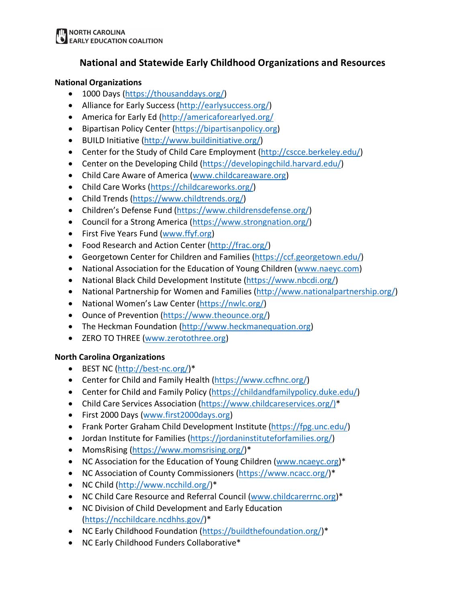## **National and Statewide Early Childhood Organizations and Resources**

## **National Organizations**

- 1000 Days (https://thousanddays.org/)
- Alliance for Early Success (http://earlysuccess.org/)
- America for Early Ed (http://americaforearlyed.org/
- Bipartisan Policy Center (https://bipartisanpolicy.org)
- BUILD Initiative (http://www.buildinitiative.org/)
- Center for the Study of Child Care Employment (http://cscce.berkeley.edu/)
- Center on the Developing Child (https://developingchild.harvard.edu/)
- Child Care Aware of America (www.childcareaware.org)
- Child Care Works (https://childcareworks.org/)
- Child Trends (https://www.childtrends.org/)
- Children's Defense Fund (https://www.childrensdefense.org/)
- Council for a Strong America (https://www.strongnation.org/)
- First Five Years Fund (www.ffyf.org)
- Food Research and Action Center (http://frac.org/)
- Georgetown Center for Children and Families (https://ccf.georgetown.edu/)
- National Association for the Education of Young Children (www.naeyc.com)
- National Black Child Development Institute (https://www.nbcdi.org/)
- National Partnership for Women and Families (http://www.nationalpartnership.org/)
- National Women's Law Center (https://nwlc.org/)
- Ounce of Prevention (https://www.theounce.org/)
- The Heckman Foundation (http://www.heckmanequation.org)
- ZERO TO THREE (www.zerotothree.org)

## **North Carolina Organizations**

- BEST NC (http://best-nc.org/)\*
- Center for Child and Family Health (https://www.ccfhnc.org/)
- Center for Child and Family Policy (https://childandfamilypolicy.duke.edu/)
- Child Care Services Association (https://www.childcareservices.org/)\*
- First 2000 Days (www.first2000days.org)
- Frank Porter Graham Child Development Institute (https://fpg.unc.edu/)
- Jordan Institute for Families (https://jordaninstituteforfamilies.org/)
- MomsRising (https://www.momsrising.org/)\*
- NC Association for the Education of Young Children (www.ncaeyc.org)\*
- NC Association of County Commissioners (https://www.ncacc.org/)\*
- NC Child (http://www.ncchild.org/)\*
- NC Child Care Resource and Referral Council (www.childcarerrnc.org)\*
- NC Division of Child Development and Early Education (https://ncchildcare.ncdhhs.gov/)\*
- NC Early Childhood Foundation (https://buildthefoundation.org/)\*
- NC Early Childhood Funders Collaborative\*